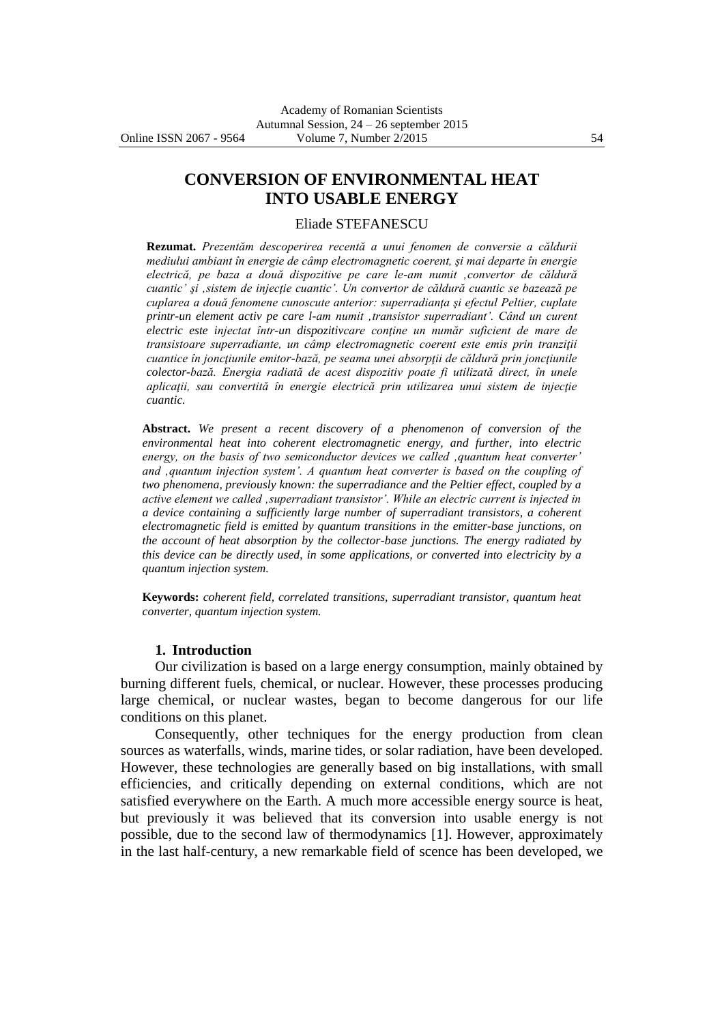# **CONVERSION OF ENVIRONMENTAL HEAT INTO USABLE ENERGY**

#### Eliade STEFANESCU

**Rezumat.** *Prezentăm descoperirea recentă a unui fenomen de conversie a căldurii mediului ambiant în energie de câmp electromagnetic coerent, şi mai departe în energie electrică, pe baza a două dispozitive pe care le-am numit 'convertor de căldură cuantic' şi 'sistem de injecţie cuantic'. Un convertor de căldură cuantic se bazează pe cuplarea a două fenomene cunoscute anterior: superradianţa şi efectul Peltier, cuplate printr-un element activ pe care l-am numit 'transistor superradiant'. Când un curent electric este injectat într-un dispozitivcare conţine un număr suficient de mare de transistoare superradiante, un câmp electromagnetic coerent este emis prin tranziţii cuantice în joncţiunile emitor-bază, pe seama unei absorpţii de căldură prin joncţiunile colector-bază. Energia radiată de acest dispozitiv poate fi utilizată direct, în unele aplicaţii, sau convertită în energie electrică prin utilizarea unui sistem de injecţie cuantic.*

**Abstract.** *We present a recent discovery of a phenomenon of conversion of the environmental heat into coherent electromagnetic energy, and further, into electric energy, on the basis of two semiconductor devices we called 'quantum heat converter' and 'quantum injection system'. A quantum heat converter is based on the coupling of two phenomena, previously known: the superradiance and the Peltier effect, coupled by a active element we called 'superradiant transistor'. While an electric current is injected in a device containing a sufficiently large number of superradiant transistors, a coherent electromagnetic field is emitted by quantum transitions in the emitter-base junctions, on the account of heat absorption by the collector-base junctions. The energy radiated by this device can be directly used, in some applications, or converted into electricity by a quantum injection system.*

**Keywords:** *coherent field, correlated transitions, superradiant transistor, quantum heat converter, quantum injection system.*

#### **1. Introduction**

Our civilization is based on a large energy consumption, mainly obtained by burning different fuels, chemical, or nuclear. However, these processes producing large chemical, or nuclear wastes, began to become dangerous for our life conditions on this planet.

Consequently, other techniques for the energy production from clean sources as waterfalls, winds, marine tides, or solar radiation, have been developed. However, these technologies are generally based on big installations, with small efficiencies, and critically depending on external conditions, which are not satisfied everywhere on the Earth. A much more accessible energy source is heat, but previously it was believed that its conversion into usable energy is not possible, due to the second law of thermodynamics [1]. However, approximately in the last half-century, a new remarkable field of scence has been developed, we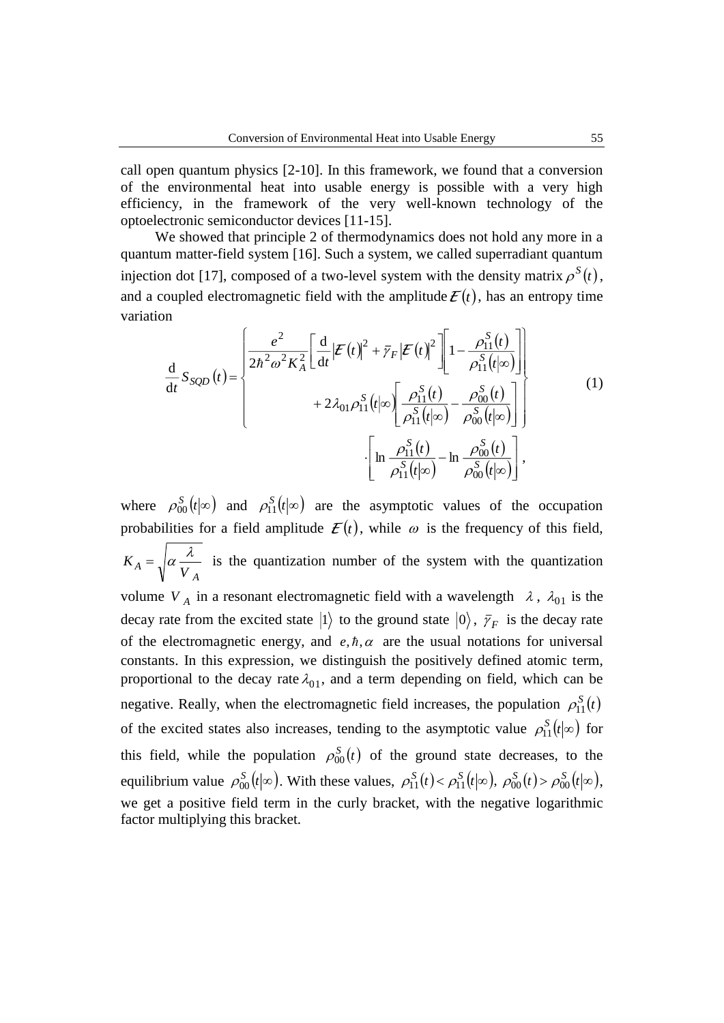call open quantum physics [2-10]. In this framework, we found that a conversion of the environmental heat into usable energy is possible with a very high efficiency, in the framework of the very well-known technology of the optoelectronic semiconductor devices [11-15].

We showed that principle 2 of thermodynamics does not hold any more in a quantum matter-field system [16]. Such a system, we called superradiant quantum injection dot [17], composed of a two-level system with the density matrix  $\rho^{S}(t)$ , and a coupled electromagnetic field with the amplitude  $\mathcal{E}(t)$ , has an entropy time variation

$$
\frac{d}{dt} S_{SQD}(t) = \begin{cases}\n\frac{e^2}{2\hbar^2 \omega^2 K_A^2} \left[ \frac{d}{dt} |\mathcal{E}(t)|^2 + \bar{\gamma}_F |\mathcal{E}(t)|^2 \right] \left[ 1 - \frac{\rho_{11}^S(t)}{\rho_{11}^S(t|\infty)} \right] \\
+ 2\lambda_{01} \rho_{11}^S(t|\infty) \left[ \frac{\rho_{11}^S(t)}{\rho_{11}^S(t|\infty)} - \frac{\rho_{00}^S(t)}{\rho_{00}^S(t|\infty)} \right] \\
\left[ \ln \frac{\rho_{11}^S(t)}{\rho_{11}^S(t|\infty)} - \ln \frac{\rho_{00}^S(t)}{\rho_{00}^S(t|\infty)} \right],\n\end{cases}
$$
\n(1)

where  $\rho_{00}^S(t|\infty)$  and  $\rho_{11}^S(t|\infty)$  are the asymptotic values of the occupation probabilities for a field amplitude  $\mathcal{E}(t)$ , while  $\omega$  is the frequency of this field, *A*  $K_A = \sqrt{\alpha V}$  $=\sqrt{\alpha} \frac{\lambda}{\lambda}$  is the quantization number of the system with the quantization volume  $V_A$  in a resonant electromagnetic field with a wavelength  $\lambda$ ,  $\lambda_{01}$  is the decay rate from the excited state  $|1\rangle$  to the ground state  $|0\rangle$ ,  $\bar{\gamma}_F$  is the decay rate of the electromagnetic energy, and  $e, \hbar, \alpha$  are the usual notations for universal constants. In this expression, we distinguish the positively defined atomic term, proportional to the decay rate  $\lambda_{01}$ , and a term depending on field, which can be negative. Really, when the electromagnetic field increases, the population  $\rho_{11}^{S}(t)$ of the excited states also increases, tending to the asymptotic value  $\rho_{11}^S(t|\infty)$  for this field, while the population  $\rho_{00}^{S}(t)$  of the ground state decreases, to the equilibrium value  $\rho_{00}^S(t|\infty)$ . With these values,  $\rho_{11}^S(t) < \rho_{11}^S(t|\infty)$ ,  $\rho_{00}^S(t) > \rho_{00}^S(t|\infty)$ , we get a positive field term in the curly bracket, with the negative logarithmic factor multiplying this bracket.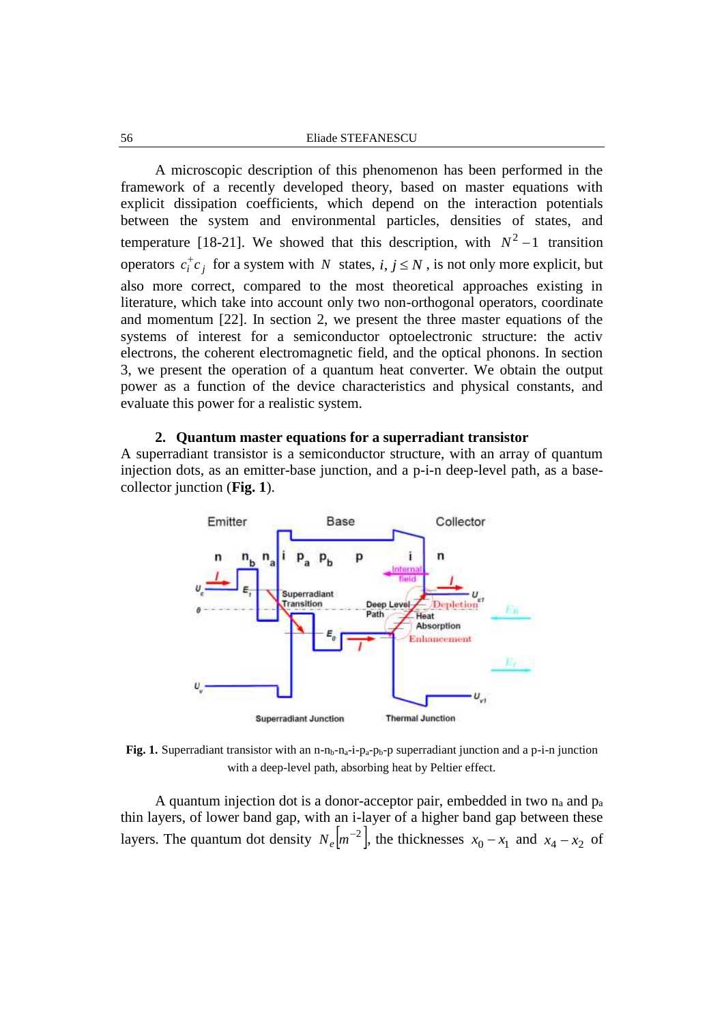A microscopic description of this phenomenon has been performed in the framework of a recently developed theory, based on master equations with explicit dissipation coefficients, which depend on the interaction potentials between the system and environmental particles, densities of states, and temperature [18-21]. We showed that this description, with  $N^2 - 1$  transition operators  $c_i^{\dagger} c_j$  for a system with N states,  $i, j \le N$ , is not only more explicit, but also more correct, compared to the most theoretical approaches existing in literature, which take into account only two non-orthogonal operators, coordinate and momentum [22]. In section 2, we present the three master equations of the systems of interest for a semiconductor optoelectronic structure: the activ electrons, the coherent electromagnetic field, and the optical phonons. In section 3, we present the operation of a quantum heat converter. We obtain the output power as a function of the device characteristics and physical constants, and evaluate this power for a realistic system.

## **2. Quantum master equations for a superradiant transistor**

A superradiant transistor is a semiconductor structure, with an array of quantum injection dots, as an emitter-base junction, and a p-i-n deep-level path, as a basecollector junction (**Fig. 1**).



Fig. 1. Superradiant transistor with an n-n<sub>b</sub>-n<sub>a</sub>-i-p<sub>a</sub>-p<sub>b</sub>-p superradiant junction and a p-i-n junction with a deep-level path, absorbing heat by Peltier effect.

A quantum injection dot is a donor-acceptor pair, embedded in two  $n_a$  and  $p_a$ thin layers, of lower band gap, with an i-layer of a higher band gap between these layers. The quantum dot density  $N_e \left[ m^{-2} \right]$ , the thicknesses  $x_0 - x_1$  and  $x_4 - x_2$  of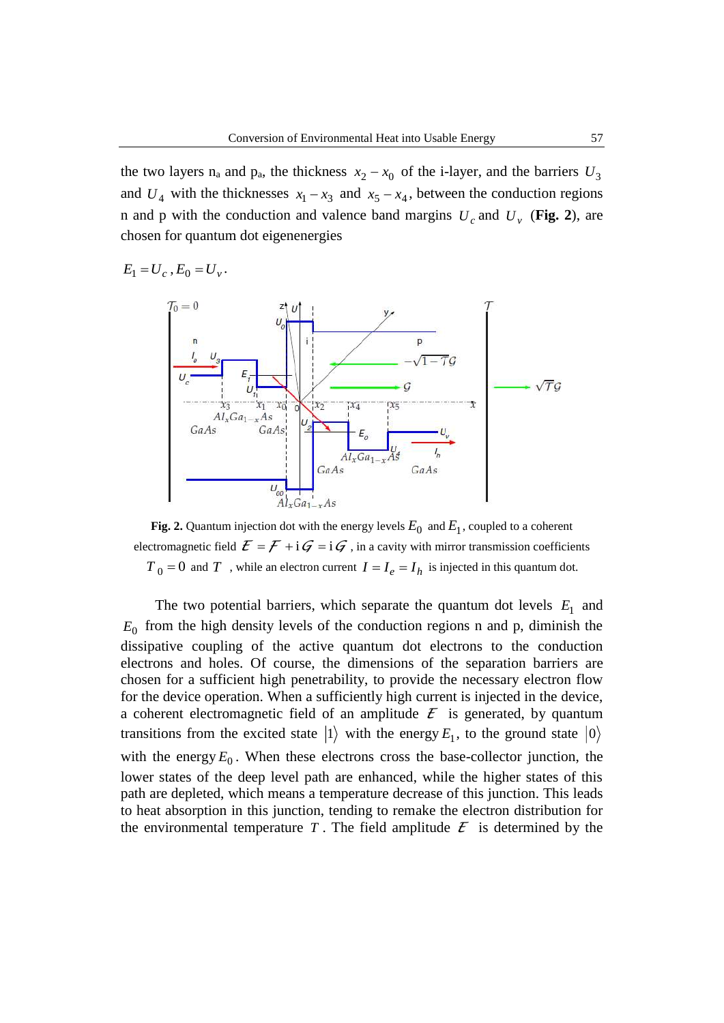the two layers  $n_a$  and  $p_a$ , the thickness  $x_2 - x_0$  of the i-layer, and the barriers  $U_3$ and  $U_4$  with the thicknesses  $x_1 - x_3$  and  $x_5 - x_4$ , between the conduction regions n and p with the conduction and valence band margins  $U_c$  and  $U_v$  (Fig. 2), are chosen for quantum dot eigenenergies

$$
E_1 = U_c, E_0 = U_v.
$$



**Fig. 2.** Quantum injection dot with the energy levels  $E_0$  and  $E_1$ , coupled to a coherent electromagnetic field  $\mathcal{E} = \mathcal{F} + i\mathcal{G} = i\mathcal{G}$ , in a cavity with mirror transmission coefficients  $T_0 = 0$  and  $T$ , while an electron current  $I = I_e = I_h$  is injected in this quantum dot.

The two potential barriers, which separate the quantum dot levels  $E_1$  and  $E_0$  from the high density levels of the conduction regions n and p, diminish the dissipative coupling of the active quantum dot electrons to the conduction electrons and holes. Of course, the dimensions of the separation barriers are chosen for a sufficient high penetrability, to provide the necessary electron flow for the device operation. When a sufficiently high current is injected in the device, a coherent electromagnetic field of an amplitude  $\mathcal{E}$  is generated, by quantum transitions from the excited state  $|1\rangle$  with the energy  $E_1$ , to the ground state  $|0\rangle$ with the energy  $E_0$ . When these electrons cross the base-collector junction, the lower states of the deep level path are enhanced, while the higher states of this path are depleted, which means a temperature decrease of this junction. This leads to heat absorption in this junction, tending to remake the electron distribution for the environmental temperature T. The field amplitude  $\mathcal{E}$  is determined by the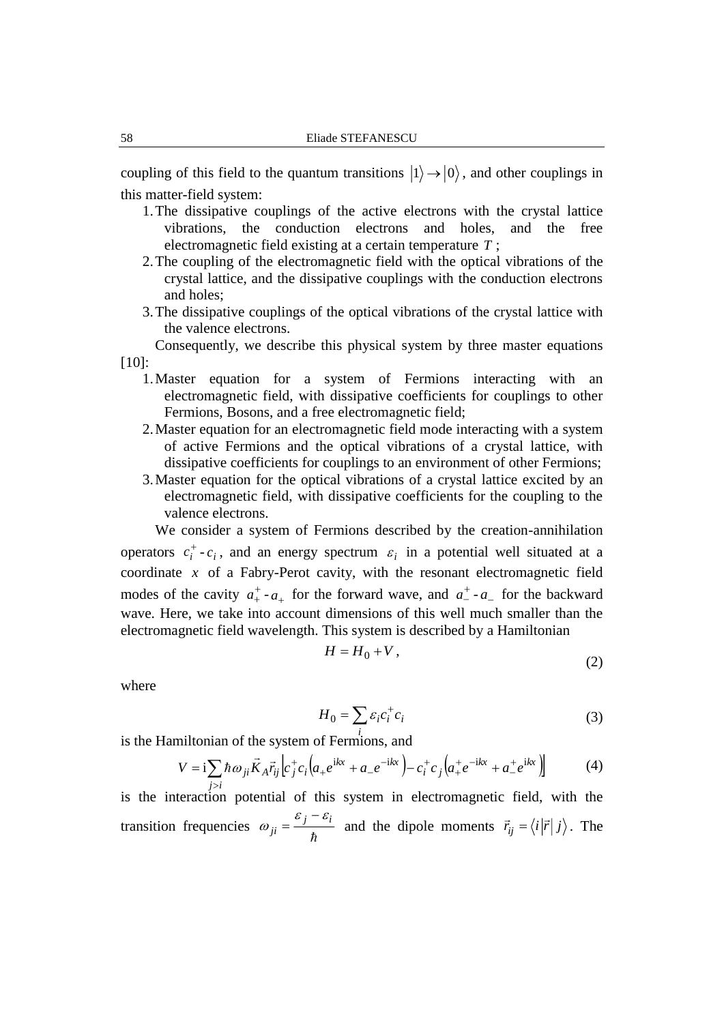coupling of this field to the quantum transitions  $|1\rangle \rightarrow |0\rangle$ , and other couplings in this matter-field system:

- 1.The dissipative couplings of the active electrons with the crystal lattice vibrations, the conduction electrons and holes, and the free electromagnetic field existing at a certain temperature *T* ;
- 2.The coupling of the electromagnetic field with the optical vibrations of the crystal lattice, and the dissipative couplings with the conduction electrons and holes;
- 3.The dissipative couplings of the optical vibrations of the crystal lattice with the valence electrons.

Consequently, we describe this physical system by three master equations [10]:

- 1.Master equation for a system of Fermions interacting with an electromagnetic field, with dissipative coefficients for couplings to other Fermions, Bosons, and a free electromagnetic field;
- 2.Master equation for an electromagnetic field mode interacting with a system of active Fermions and the optical vibrations of a crystal lattice, with dissipative coefficients for couplings to an environment of other Fermions;
- 3.Master equation for the optical vibrations of a crystal lattice excited by an electromagnetic field, with dissipative coefficients for the coupling to the valence electrons.

We consider a system of Fermions described by the creation-annihilation operators  $c_i^+$ - $c_i$ , and an energy spectrum  $\varepsilon_i$  in a potential well situated at a coordinate  $x$  of a Fabry-Perot cavity, with the resonant electromagnetic field modes of the cavity  $a_{+}^{+}$  $a_{+}^{+}$  -  $a_{+}$  for the forward wave, and  $a_{-}^{+}$  -  $a_{-}$  for the backward wave. Here, we take into account dimensions of this well much smaller than the electromagnetic field wavelength. This system is described by a Hamiltonian

$$
H = H_0 + V, \tag{2}
$$

where

$$
H_0 = \sum_i \varepsilon_i c_i^+ c_i \tag{3}
$$

is the Hamiltonian of the system of Fermions, and *i*

$$
V = i \sum_{j>i} \hbar \omega_{ji} \vec{K}_A \vec{r}_{ij} \left[ c_j^+ c_i \left( a_+ e^{ikx} + a_- e^{-ikx} \right) - c_i^+ c_j \left( a_+^+ e^{-ikx} + a_-^+ e^{ikx} \right) \right]
$$
(4)

is the interaction potential of this system in electromagnetic field, with the transition frequencies  $\omega_{ji} = \frac{y}{\hbar}$ *j i ji*  $\varepsilon$  :  $\varepsilon$  $\omega_{ji} = \frac{\varepsilon_j - \varepsilon_i}{\hbar}$  and the dipole moments  $\vec{r}_{ij} = \langle i | \vec{r} | j \rangle$ . The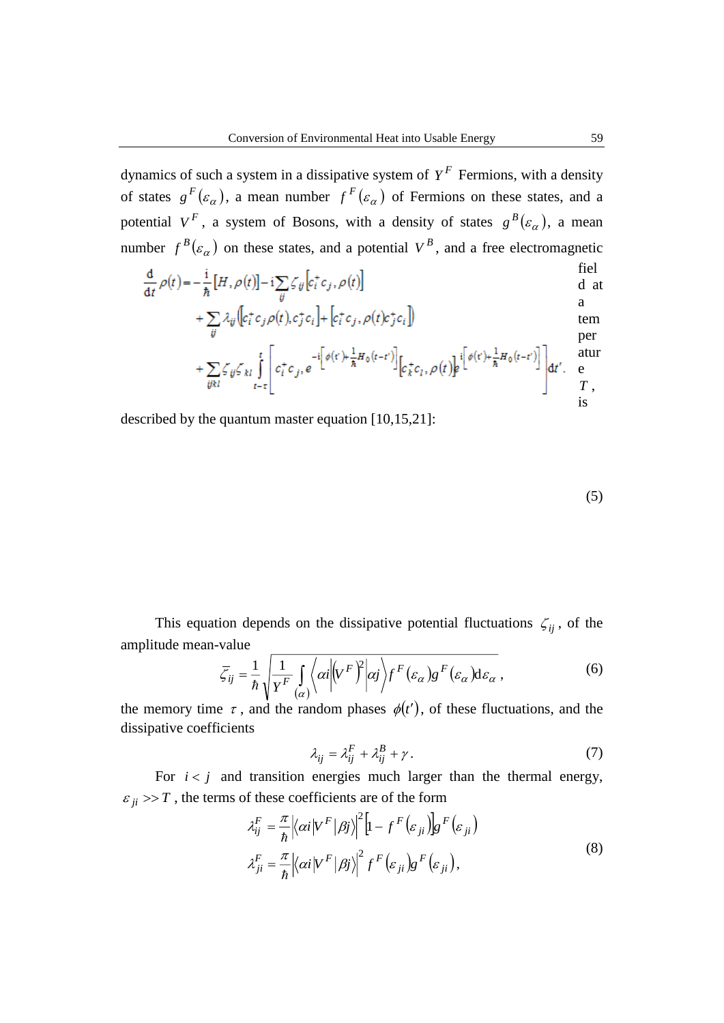dynamics of such a system in a dissipative system of  $Y<sup>F</sup>$  Fermions, with a density of states  $g^F(\varepsilon_\alpha)$ , a mean number  $f^F(\varepsilon_\alpha)$  of Fermions on these states, and a potential  $V^F$ , a system of Bosons, with a density of states  $g^B(\varepsilon_\alpha)$ , a mean number  $f^B(\varepsilon_\alpha)$  on these states, and a potential  $V^B$ , and a free electromagnetic

$$
\frac{d}{dt}\rho(t) = -\frac{i}{\hbar}[H,\rho(t)] - i\sum_{ij}\zeta_{ij}\left[c_i^+c_j,\rho(t)\right]
$$
field  
d at

$$
+\sum_{ij} \lambda_{ij} \left( c_i^+ c_j \rho(t), c_j^+ c_i \right) + \left[ c_i^+ c_j, \rho(t) c_j^+ c_i \right] \tag{tem}
$$

$$
+\sum_{ijkl}\zeta_{ij}\zeta_{kl}\int\limits_{t-\tau}^t\left[c_i^+c_j,e^{-i\left[\phi(r)+\frac{1}{\hbar}H_0(t-t')\right]}\Big[c_k^+c_l,\rho(t)\Big]e^{i\left[\phi(r)+\frac{1}{\hbar}H_0(t-t')\right]}\right]dt'.\quad \begin{array}{ll} \text{atur}\\ \text{r}\\ \text{is} \end{array}
$$

described by the quantum master equation [10,15,21]:

$$
(5)
$$

This equation depends on the dissipative potential fluctuations  $\zeta_{ij}$ , of the amplitude mean-value

$$
\bar{\zeta}_{ij} = \frac{1}{\hbar} \sqrt{\frac{1}{Y^F} \int_{(\alpha)} \langle \alpha | (V^F)^2 | \alpha j \rangle} f^F(\varepsilon_\alpha) g^F(\varepsilon_\alpha) d\varepsilon_\alpha , \qquad (6)
$$

the memory time  $\tau$ , and the random phases  $\phi(t')$ , of these fluctuations, and the dissipative coefficients

$$
\lambda_{ij} = \lambda_{ij}^F + \lambda_{ij}^B + \gamma \,. \tag{7}
$$

For  $i < j$  and transition energies much larger than the thermal energy,  $\varepsilon_{ji} \gg T$ , the terms of these coefficients are of the form

$$
\lambda_{ij}^{F} = \frac{\pi}{\hbar} \left| \langle \alpha i | V^{F} | \beta j \rangle \right|^{2} \left[ 1 - f^{F} \left( \varepsilon_{ji} \right) \right] g^{F} \left( \varepsilon_{ji} \right)
$$
\n
$$
\lambda_{ji}^{F} = \frac{\pi}{\hbar} \left| \langle \alpha i | V^{F} | \beta j \rangle \right|^{2} f^{F} \left( \varepsilon_{ji} \right) g^{F} \left( \varepsilon_{ji} \right), \tag{8}
$$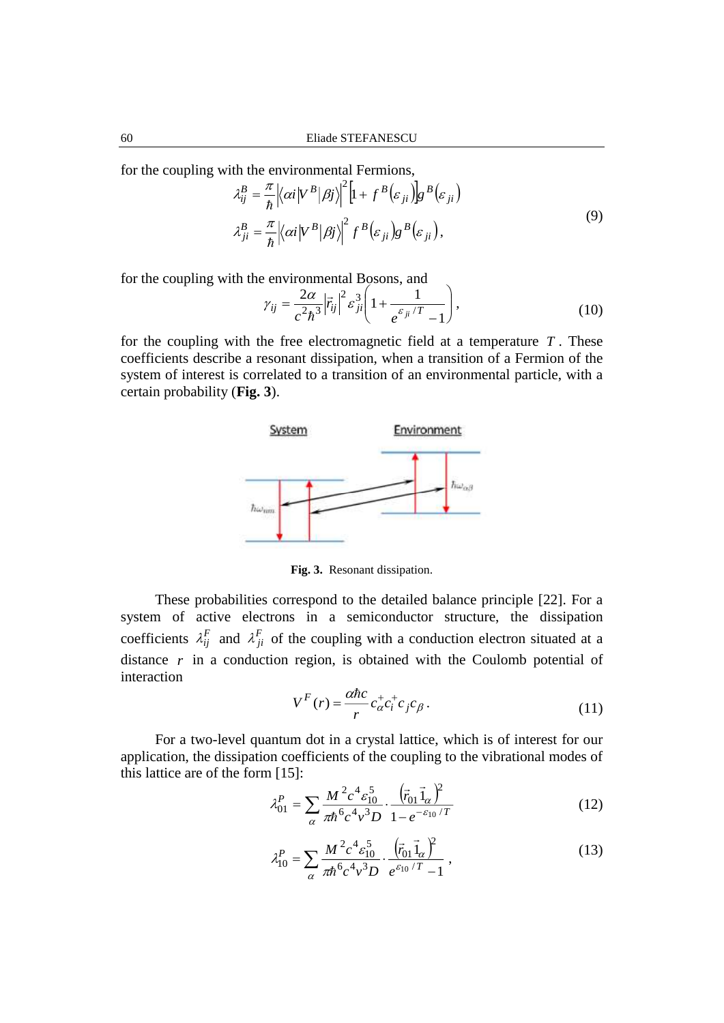for the coupling with the environmental Fermions,

$$
\lambda_{ij}^{B} = \frac{\pi}{\hbar} \left| \langle \alpha i | V^{B} | \beta j \rangle \right|^{2} \left[ 1 + f^{B} \left( \varepsilon_{ji} \right) \right] g^{B} \left( \varepsilon_{ji} \right)
$$
\n
$$
\lambda_{ji}^{B} = \frac{\pi}{\hbar} \left| \langle \alpha i | V^{B} | \beta j \rangle \right|^{2} f^{B} \left( \varepsilon_{ji} \right) g^{B} \left( \varepsilon_{ji} \right), \tag{9}
$$

for the coupling with the environmental Bosons, and

$$
\gamma_{ij} = \frac{2\alpha}{c^2\hbar^3} \left| \vec{r}_{ij} \right|^2 \varepsilon_{ji}^3 \left( 1 + \frac{1}{e^{\varepsilon_{ji}/T} - 1} \right),\tag{10}
$$

for the coupling with the free electromagnetic field at a temperature *T* . These coefficients describe a resonant dissipation, when a transition of a Fermion of the system of interest is correlated to a transition of an environmental particle, with a certain probability (**Fig. 3**).



**Fig. 3.** Resonant dissipation.

These probabilities correspond to the detailed balance principle [22]. For a system of active electrons in a semiconductor structure, the dissipation coefficients  $\lambda_{ij}^F$  and  $\lambda_{ji}^F$  of the coupling with a conduction electron situated at a distance  $r$  in a conduction region, is obtained with the Coulomb potential of interaction

$$
V^F(r) = \frac{\alpha \hbar c}{r} c^+_{\alpha} c^+_{i} c_{j} c_{\beta}.
$$
 (11)

For a two-level quantum dot in a crystal lattice, which is of interest for our application, the dissipation coefficients of the coupling to the vibrational modes of this lattice are of the form [15]:

$$
\lambda_{01}^{P} = \sum_{\alpha} \frac{M^{2} c^{4} \varepsilon_{10}^{5}}{\pi \hbar^{6} c^{4} v^{3} D} \cdot \frac{\left(\vec{r}_{01} \vec{1}_{\alpha}\right)^{2}}{1 - e^{-\varepsilon_{10}/T}}
$$
(12)

$$
\lambda_{10}^P = \sum_{\alpha} \frac{M^2 c^4 \varepsilon_{10}^5}{\pi \hbar^6 c^4 v^3 D} \cdot \frac{(\vec{r}_{01} \vec{1}_{\alpha})^2}{e^{\varepsilon_{10}/T} - 1} , \qquad (13)
$$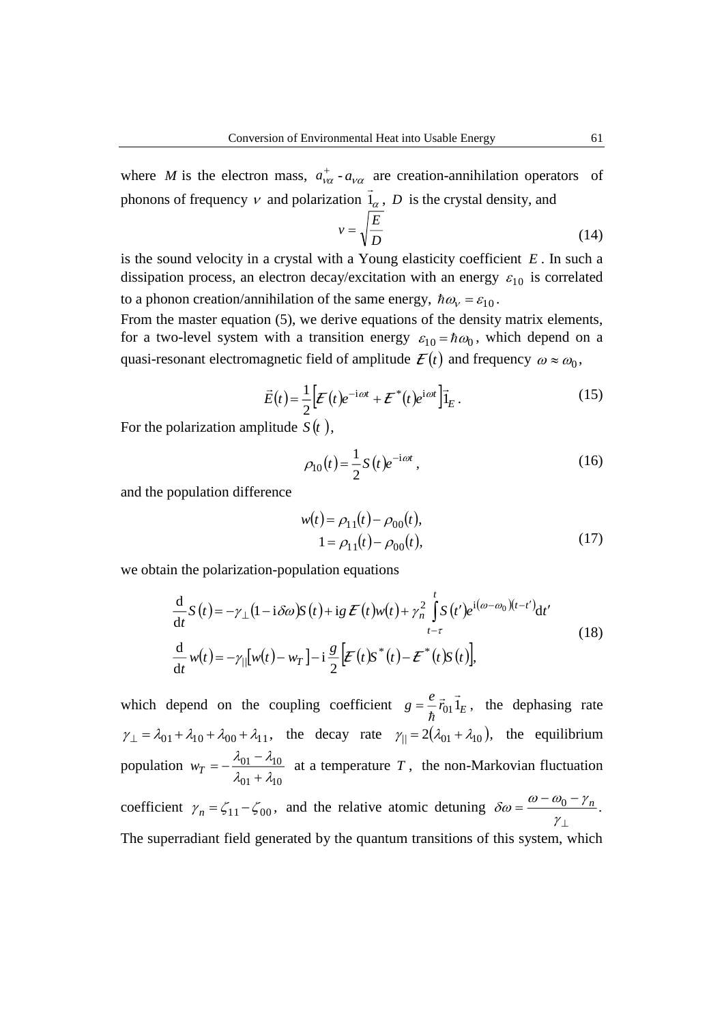where *M* is the electron mass,  $a_{\nu\alpha}^+ - a_{\nu\alpha}$  are creation-annihilation operators of phonons of frequency  $\nu$  and polarization  $\overline{1}_{\alpha}$ ,  $D$  is the crystal density, and

$$
v = \sqrt{\frac{E}{D}}
$$
 (14)

is the sound velocity in a crystal with a Young elasticity coefficient *E* . In such a dissipation process, an electron decay/excitation with an energy  $\varepsilon_{10}$  is correlated to a phonon creation/annihilation of the same energy,  $\hbar \omega_{v} = \varepsilon_{10}$ .

From the master equation (5), we derive equations of the density matrix elements, for a two-level system with a transition energy  $\varepsilon_{10} = \hbar \omega_0$ , which depend on a quasi-resonant electromagnetic field of amplitude  $\mathcal{E}(t)$  and frequency  $\omega \approx \omega_0$ ,

$$
\vec{E}(t) = \frac{1}{2} \left[ \boldsymbol{E}(t) e^{-i\omega t} + \boldsymbol{E}^*(t) e^{i\omega t} \right] \vec{1}_E.
$$
 (15)

For the polarization amplitude  $S(t)$ ,

$$
\rho_{10}(t) = \frac{1}{2} S(t) e^{-i\omega t}, \qquad (16)
$$

and the population difference

$$
w(t) = \rho_{11}(t) - \rho_{00}(t),
$$
  
\n
$$
1 = \rho_{11}(t) - \rho_{00}(t),
$$
\n(17)

we obtain the polarization-population equations

$$
\frac{d}{dt}S(t) = -\gamma_{\perp}(1 - i\delta\omega)S(t) + ig \mathcal{E}(t)w(t) + \gamma_n^2 \int_{t-\tau}^t S(t')e^{i(\omega - \omega_0)(t-t')}dt'
$$
\n
$$
\frac{d}{dt}w(t) = -\gamma_{||}[w(t) - w_T] - i\frac{g}{2}[\mathcal{E}(t)S^*(t) - \mathcal{E}^*(t)S(t)],
$$
\n(18)

which depend on the coupling coefficient  $g = \frac{e}{h} \vec{r}_{01} \vec{1}_E$ ,  $t = -\frac{\epsilon}{\hbar} \vec{r}_{01} \, 1_E$ , the dephasing rate  $\gamma_{\perp} = \lambda_{01} + \lambda_{10} + \lambda_{00} + \lambda_{11}$ , the decay rate  $\gamma_{\parallel} = 2(\lambda_{01} + \lambda_{10})$ , the equilibrium population 01 ' 10 01 740  $\lambda_{01} + \lambda_1$  $\lambda_{01} - \lambda_1$ ┿  $w_T = -\frac{\lambda_0 - \lambda_1}{2}$  at a temperature T, the non-Markovian fluctuation coefficient  $\gamma_n = \zeta_{11} - \zeta_{00}$ , and the relative atomic detuning  $\delta \omega = \frac{\omega - \omega_0}{n}$ . T  $=\frac{\omega - \omega_0 - \omega_0}{\gamma_1}$  $\delta\omega = \frac{\omega - \omega_0 - \gamma_n}{\omega}$ The superradiant field generated by the quantum transitions of this system, which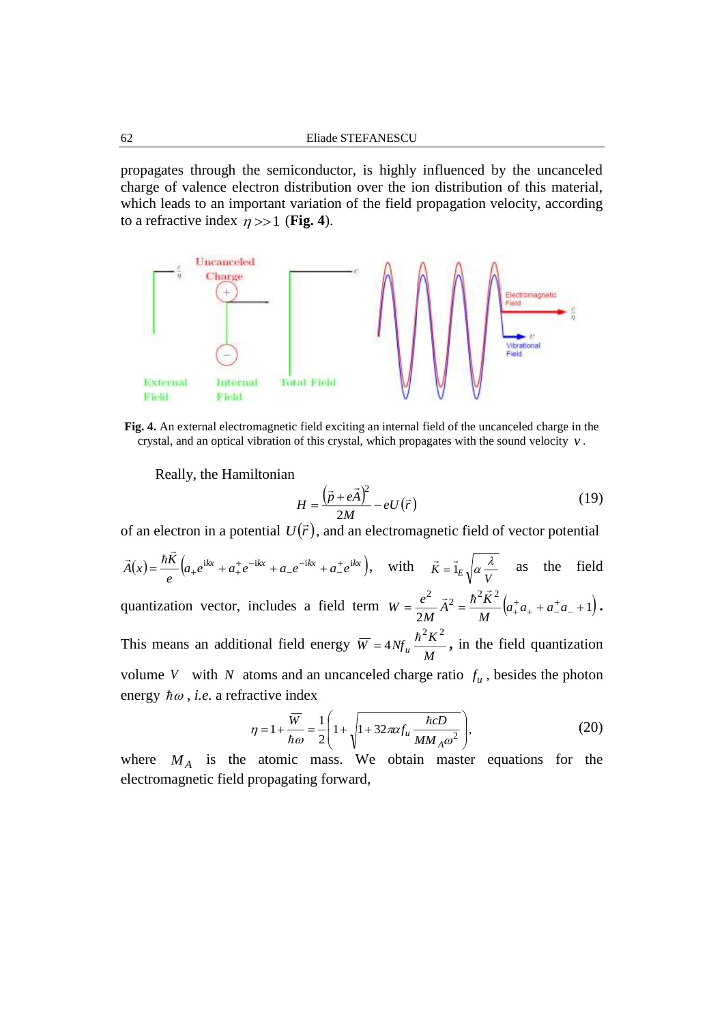propagates through the semiconductor, is highly influenced by the uncanceled charge of valence electron distribution over the ion distribution of this material, which leads to an important variation of the field propagation velocity, according to a refractive index  $\eta >> 1$  (**Fig. 4**).



**Fig. 4.** An external electromagnetic field exciting an internal field of the uncanceled charge in the crystal, and an optical vibration of this crystal, which propagates with the sound velocity *v* .

Really, the Hamiltonian

$$
H = \frac{\left(\vec{p} + e\vec{A}\right)^2}{2M} - eU(\vec{r})
$$
\n(19)

of an electron in a potential  $U(\vec{r})$ , and an electromagnetic field of vector potential

$$
\vec{A}(x) = \frac{\hbar \vec{K}}{e} \Big( a_+ e^{ikx} + a_+^+ e^{-ikx} + a_- e^{-ikx} + a_-^+ e^{ikx} \Big), \quad \text{with} \quad \vec{K} = \vec{1}_E \sqrt{a \frac{\lambda}{V}} \quad \text{as} \quad \text{the field}
$$
\nquantization vector, includes a field term  $W = \frac{e^2}{2M} \vec{A}^2 = \frac{\hbar^2 \vec{K}^2}{M} \Big( a_+^+ a_+ + a_-^+ a_- + 1 \Big).$ 

This means an additional field energy  $\overline{W} = 4Nf_u \frac{h}{M}$  $\overline{W} = 4Nf_u \frac{\hbar^2 K}{M}$  $2 \times 2$  $=4Nf_u \frac{\hbar^2 K^2}{r^2}$ , in the field quantization volume V with N atoms and an uncanceled charge ratio  $f_u$ , besides the photon energy  $\hbar \omega$ , *i.e.* a refractive index

$$
\eta = 1 + \frac{\overline{W}}{\hbar \omega} = \frac{1}{2} \left( 1 + \sqrt{1 + 32\pi \alpha f_u \frac{\hbar c D}{M M_A \omega^2}} \right),\tag{20}
$$

where  $M_A$  is the atomic mass. We obtain master equations for the electromagnetic field propagating forward,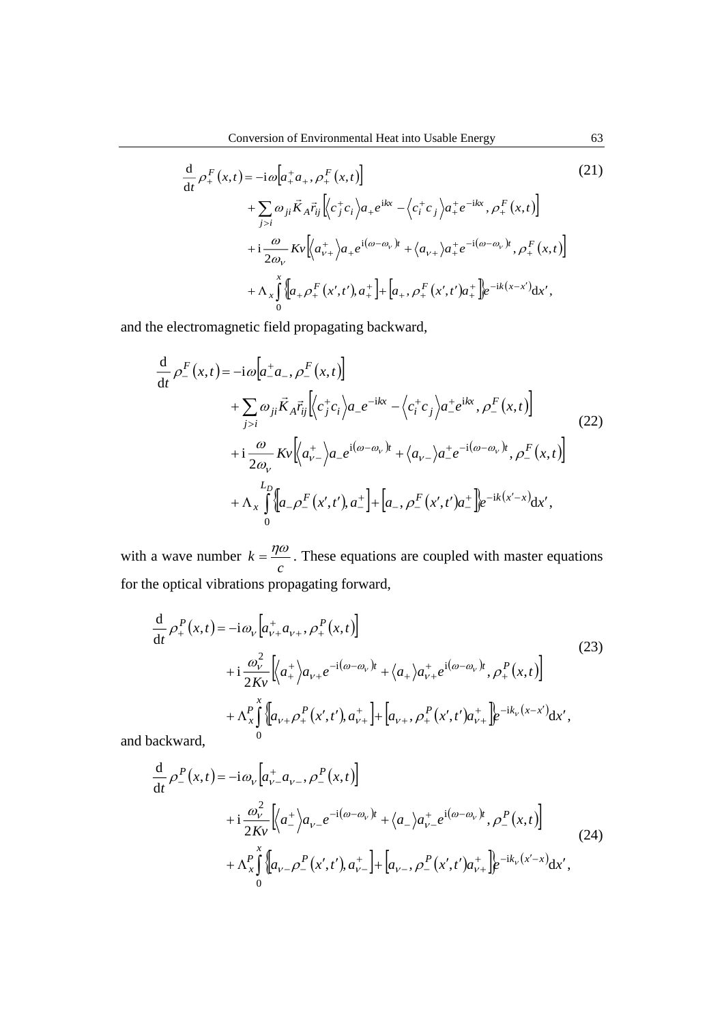$$
\frac{d}{dt} \rho_{+}^{F}(x,t) = -i\omega \Big[a_{+}^{+}a_{+}, \rho_{+}^{F}(x,t)\Big] \n+ \sum_{j>i} \omega_{ji} \vec{K}_{A} \vec{r}_{ij} \Big[\Big(c_{j}^{+}c_{i}\Big)a_{+}e^{ikx} - \Big(c_{i}^{+}c_{j}\Big)a_{+}^{+}e^{-ikx}, \rho_{+}^{F}(x,t)\Big] \n+ i\frac{\omega}{2\omega_{V}} Kv \Big[\Big\langle a_{V^{+}}^{+}\Big\rangle a_{+}e^{i(\omega-\omega_{V})t} + \Big\langle a_{V^{+}}\Big\rangle a_{+}^{+}e^{-i(\omega-\omega_{V})t}, \rho_{+}^{F}(x,t)\Big] \n+ \Lambda_{x} \int_{0}^{x} \Big\{ \Big[a_{+} \rho_{+}^{F}(x',t'), a_{+}^{+}\Big] + \Big[a_{+}, \rho_{+}^{F}(x',t')a_{+}^{+}\Big]e^{-ik(x-x')}dx',
$$
\n(21)

and the electromagnetic field propagating backward,

$$
\frac{d}{dt} \rho_{-}^{F}(x,t) = -i\omega \Big[a_{-}^{+}a_{-}, \rho_{-}^{F}(x,t)\Big] \n+ \sum_{j>i} \omega_{ji} \vec{K}_{A} \vec{r}_{ij} \Big\langle c_{j}^{+}c_{i} \Big\rangle a_{-}e^{-ikx} - \Big\langle c_{i}^{+}c_{j} \Big\rangle a_{-}^{+}e^{ikx}, \rho_{-}^{F}(x,t)\Big] \n+ i\frac{\omega}{2\omega_{\nu}} Kv \Big\langle \Big\langle a_{\nu-}^{+} \Big\rangle a_{-}e^{i(\omega-\omega_{\nu})t} + \Big\langle a_{\nu-} \Big\rangle a_{-}^{+}e^{-i(\omega-\omega_{\nu})t}, \rho_{-}^{F}(x,t)\Big] \n+ \Lambda_{x} \int_{0}^{L_{D}} \Big\{ \Big[a_{-} \rho_{-}^{F}(x',t'), a_{-}^{+} \Big] + \Big[a_{-}, \rho_{-}^{F}(x',t')a_{-}^{+} \Big]e^{-ik(x'-x)}dx',
$$
\n(22)

with a wave number  $k = \frac{r}{c}$  $k = \frac{\eta \omega}{\eta}$ . These equations are coupled with master equations for the optical vibrations propagating forward,

$$
\frac{d}{dt} \rho_{+}^{P}(x,t) = -i\omega_{V} \left[ a_{V+}^{+} a_{V+}, \rho_{+}^{P}(x,t) \right]
$$
\n
$$
+i\frac{\omega_{V}^{2}}{2Kv} \left[ \left\langle a_{+}^{+} \right\rangle a_{V+} e^{-i(\omega - \omega_{V})t} + \left\langle a_{+} \right\rangle a_{V+}^{+} e^{i(\omega - \omega_{V})t}, \rho_{+}^{P}(x,t) \right]
$$
\n
$$
+ \Lambda_{x}^{P} \int_{0}^{x} \left\{ \left[ a_{V+} \rho_{+}^{P}(x',t'), a_{V+}^{+} \right] + \left[ a_{V+}, \rho_{+}^{P}(x',t') a_{V+}^{+} \right] \right\} e^{-ik_{V}(x-x')} dx',
$$
\n(23)

and backward,

$$
\frac{d}{dt} \rho_{-}^{P}(x,t) = -i\omega_{V} \left[a_{V-}^{+} a_{V-}, \rho_{-}^{P}(x,t)\right] \n+ i\frac{\omega_{V}^{2}}{2Kv} \left\langle a_{-}^{+}\right\rangle a_{V-} e^{-i(\omega - \omega_{V})t} + \left\langle a_{-}\right\rangle a_{V-}^{+} e^{i(\omega - \omega_{V})t}, \rho_{-}^{P}(x,t) \n+ \Lambda_{x}^{P} \int_{0}^{x} \left\{a_{V-} \rho_{-}^{P}(x',t'), a_{V-}^{+}\right\} + \left[a_{V-}, \rho_{-}^{P}(x',t')a_{V+}^{+}\right] e^{-ik_{V}(x'-x)} dx',
$$
\n(24)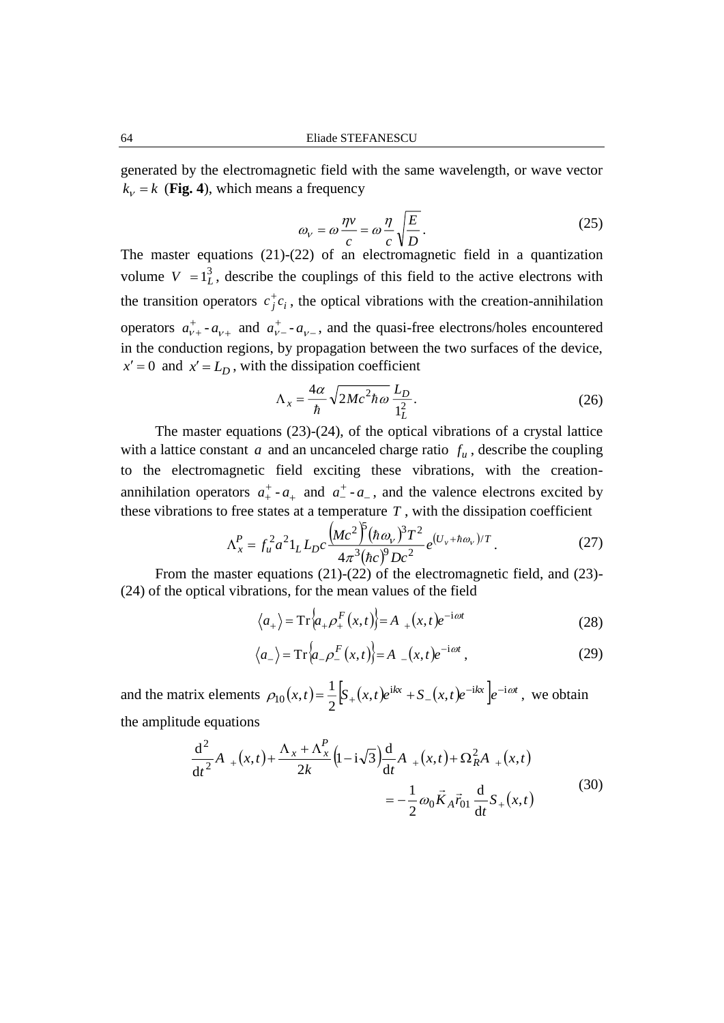generated by the electromagnetic field with the same wavelength, or wave vector  $k_v = k$  (**Fig. 4**), which means a frequency

$$
\omega_{V} = \omega \frac{\eta v}{c} = \omega \frac{\eta}{c} \sqrt{\frac{E}{D}}.
$$
\n(25)

The master equations (21)-(22) of an electromagnetic field in a quantization volume  $V = 1<sub>L</sub><sup>3</sup>$ , describe the couplings of this field to the active electrons with the transition operators  $c_j^{\dagger} c_i$ , the optical vibrations with the creation-annihilation operators  $a_{\nu}^{+}$  $a_{v+}^+$  -  $a_{v+}$  and  $a_v^+$  $a_{v-}^+$  -  $a_{v-}$ , and the quasi-free electrons/holes encountered in the conduction regions, by propagation between the two surfaces of the device,  $x' = 0$  and  $x' = L_D$ , with the dissipation coefficient

$$
\Lambda_x = \frac{4\alpha}{\hbar} \sqrt{2Mc^2 \hbar \omega} \frac{L_D}{1_L^2}.
$$
\n(26)

The master equations (23)-(24), of the optical vibrations of a crystal lattice with a lattice constant  $a$  and an uncanceled charge ratio  $f_u$ , describe the coupling to the electromagnetic field exciting these vibrations, with the creationannihilation operators  $a_{+}^{+}$  $a_+^+$  -  $a_+$  and  $a_-^+$  -  $a_-$ , and the valence electrons excited by these vibrations to free states at a temperature  $T$ , with the dissipation coefficient

$$
\Lambda_x^P = f_u^2 a^2 1_L L_D c \frac{\left(Mc^2\right)^5 (\hbar \omega_v)^3 T^2}{4\pi^3 (\hbar c)^9 Dc^2} e^{(U_v + \hbar \omega_v)/T}.
$$
 (27)

From the master equations (21)-(22) of the electromagnetic field, and (23)-(24) of the optical vibrations, for the mean values of the field

$$
\langle a_+ \rangle = \operatorname{Tr} \langle a_+ \rho_+^F(x, t) \rangle = A_+(x, t) e^{-i\omega t}
$$
 (28)

$$
\langle a_{-} \rangle = \operatorname{Tr} \langle a_{-} \rho_{-}^{F}(x, t) \rangle = A_{-}(x, t) e^{-i\omega t}, \qquad (29)
$$

and the matrix elements  $\rho_{10}(x,t) = \frac{1}{2} \Big[ S_+(x,t) e^{ikx} + S_-(x,t) e^{-ikx} \Big] e^{-i\omega t}$ , 1  $(t,t) = -\frac{1}{2}\int_{-t}^{t} (x,t)e^{ikx} + S_{-}(x,t)e^{-ikx}e^{-ikx}$ 10  $p_{10}(x,t) = \frac{1}{2} \left| S_+(x,t) e^{ikx} + S_-(x,t) e^{-ikx} \right| e^{-i\omega t}$ , we obtain the amplitude equations

$$
\frac{d^2}{dt^2}A_{+}(x,t)+\frac{\Lambda_x+\Lambda_x^P}{2k}\left(1-i\sqrt{3}\right)\frac{d}{dt}A_{+}(x,t)+\Omega_R^2A_{+}(x,t)
$$
\n
$$
=-\frac{1}{2}\omega_0\vec{K}_A\vec{r}_{01}\frac{d}{dt}S_{+}(x,t)
$$
\n(30)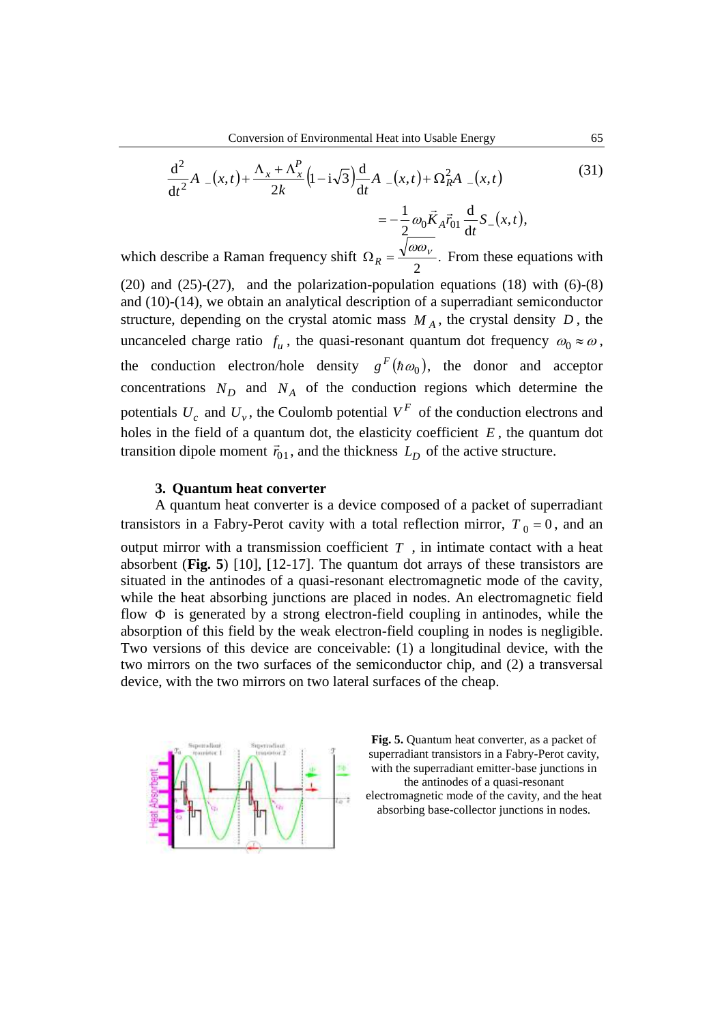$$
\frac{d^2}{dt^2}A_{-}(x,t) + \frac{\Lambda_x + \Lambda_x^P}{2k} \left(1 - i\sqrt{3}\right) \frac{d}{dt}A_{-}(x,t) + \Omega_R^2 A_{-}(x,t)
$$
(31)

$$
=-\frac{1}{2}\omega_0\vec{K}_A\vec{r}_{01}\frac{d}{dt}S_-(x,t),
$$

which describe a Raman frequency shift  $\Omega_R = \frac{\sqrt{2\pi} m}{2}$ .  $\Omega_R = \frac{\sqrt{\omega \omega_V}}{2}$ . From these equations with

(20) and (25)-(27), and the polarization-population equations (18) with  $(6)-(8)$ and (10)-(14), we obtain an analytical description of a superradiant semiconductor structure, depending on the crystal atomic mass  $M_A$ , the crystal density  $D$ , the uncanceled charge ratio  $f_u$ , the quasi-resonant quantum dot frequency  $\omega_0 \approx \omega$ , the conduction electron/hole density  $g^F(h\omega_0)$ , the donor and acceptor concentrations  $N_D$  and  $N_A$  of the conduction regions which determine the potentials  $U_c$  and  $U_v$ , the Coulomb potential  $V^F$  of the conduction electrons and holes in the field of a quantum dot, the elasticity coefficient *E* , the quantum dot transition dipole moment  $\vec{r}_{01}$ , and the thickness  $L<sub>D</sub>$  of the active structure.

### **3. Quantum heat converter**

A quantum heat converter is a device composed of a packet of superradiant transistors in a Fabry-Perot cavity with a total reflection mirror,  $T_0 = 0$ , and an output mirror with a transmission coefficient  $T$ , in intimate contact with a heat absorbent (**Fig. 5**) [10], [12-17]. The quantum dot arrays of these transistors are situated in the antinodes of a quasi-resonant electromagnetic mode of the cavity, while the heat absorbing junctions are placed in nodes. An electromagnetic field flow  $\Phi$  is generated by a strong electron-field coupling in antinodes, while the absorption of this field by the weak electron-field coupling in nodes is negligible. Two versions of this device are conceivable: (1) a longitudinal device, with the two mirrors on the two surfaces of the semiconductor chip, and (2) a transversal device, with the two mirrors on two lateral surfaces of the cheap.



**Fig. 5.** Quantum heat converter, as a packet of superradiant transistors in a Fabry-Perot cavity, with the superradiant emitter-base junctions in the antinodes of a quasi-resonant electromagnetic mode of the cavity, and the heat absorbing base-collector junctions in nodes.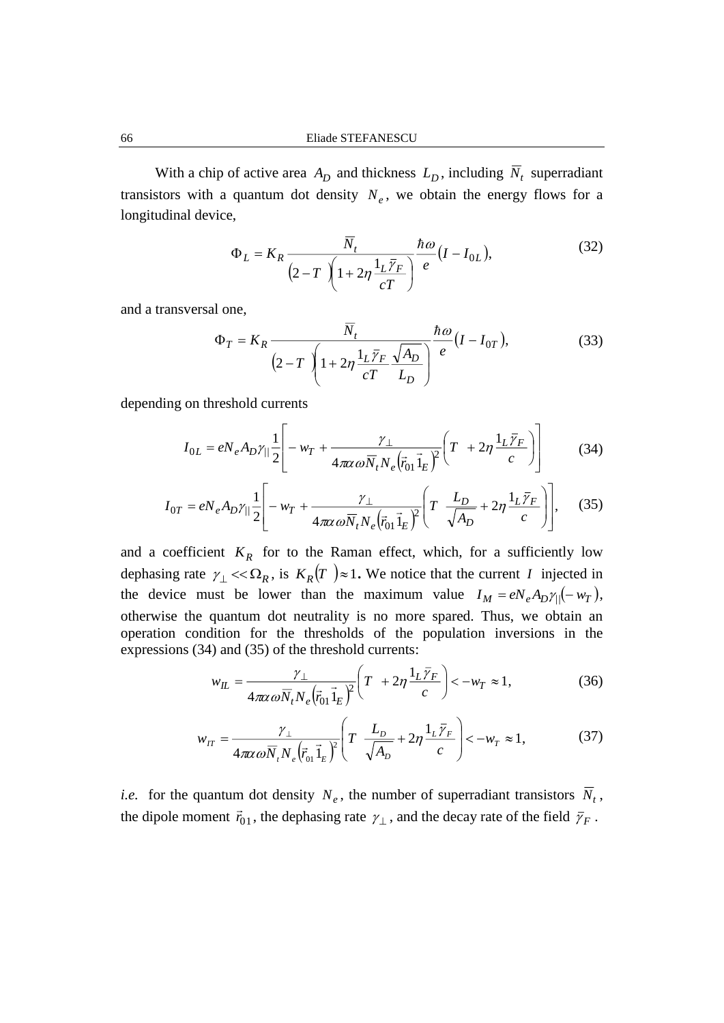With a chip of active area  $A_D$  and thickness  $L_D$ , including  $N_t$  superradiant transistors with a quantum dot density  $N_e$ , we obtain the energy flows for a longitudinal device,

$$
\Phi_L = K_R \frac{\overline{N}_t}{\left(2 - T\right)\left(1 + 2\eta \frac{1_L \overline{\gamma}_F}{cT}\right)} \frac{\hbar \omega}{e} (I - I_{0L}),\tag{32}
$$

and a transversal one,

$$
\Phi_T = K_R \frac{\overline{N}_t}{\left(2 - T\right)\left(1 + 2\eta \frac{1_L \overline{\gamma}_F}{cT} \frac{\sqrt{A_D}}{L_D}\right)} \frac{\hbar \omega}{e} (I - I_{0T}),\tag{33}
$$

depending on threshold currents

$$
I_{0L} = eN_e A_D \gamma_{||} \frac{1}{2} \left[ -w_T + \frac{\gamma_\perp}{4\pi\alpha \omega \overline{N}_t N_e (\overline{r}_{01} \overline{1}_E)^2} \left( T + 2\eta \frac{1_L \overline{\gamma}_F}{c} \right) \right]
$$
(34)

$$
I_{0T} = eN_e A_D \gamma_{||} \frac{1}{2} \left[ -w_T + \frac{\gamma_\perp}{4\pi\alpha \omega \overline{N}_t N_e (\overline{r}_{01} \overline{1}_E)^2} \left( T - \frac{L_D}{\sqrt{A_D}} + 2\eta \frac{1_L \overline{\gamma}_F}{c} \right) \right],\tag{35}
$$

and a coefficient  $K_R$  for to the Raman effect, which, for a sufficiently low dephasing rate  $\gamma_{\perp} \ll \Omega_R$ , is  $K_R(T) \approx 1$ . We notice that the current *I* injected in the device must be lower than the maximum value  $I_M = eN_e A_D \gamma_{\parallel} (-w_T)$ , otherwise the quantum dot neutrality is no more spared. Thus, we obtain an operation condition for the thresholds of the population inversions in the expressions (34) and (35) of the threshold currents:

$$
w_{IL} = \frac{\gamma_{\perp}}{4\pi\alpha\omega\overline{N}_t N_e \left(\overline{r}_{01}\overline{1}_E\right)^2} \left(T + 2\eta \frac{1_L \overline{\gamma}_F}{c}\right) < -w_T \approx 1,
$$
 (36)

$$
w_{IT} = \frac{\gamma_{\perp}}{4\pi\alpha\omega\bar{N}_{t}N_{e}(\vec{r}_{01}\vec{1}_{E})^{2}} \left(T\frac{L_{D}}{\sqrt{A_{D}}} + 2\eta\frac{1_{L}\bar{\gamma}_{F}}{c}\right) < -w_{T} \approx 1,
$$
 (37)

*i.e.* for the quantum dot density  $N_e$ , the number of superradiant transistors  $\overline{N}_t$ , the dipole moment  $\vec{r}_{01}$ , the dephasing rate  $\gamma_{\perp}$ , and the decay rate of the field  $\bar{\gamma}_F$ .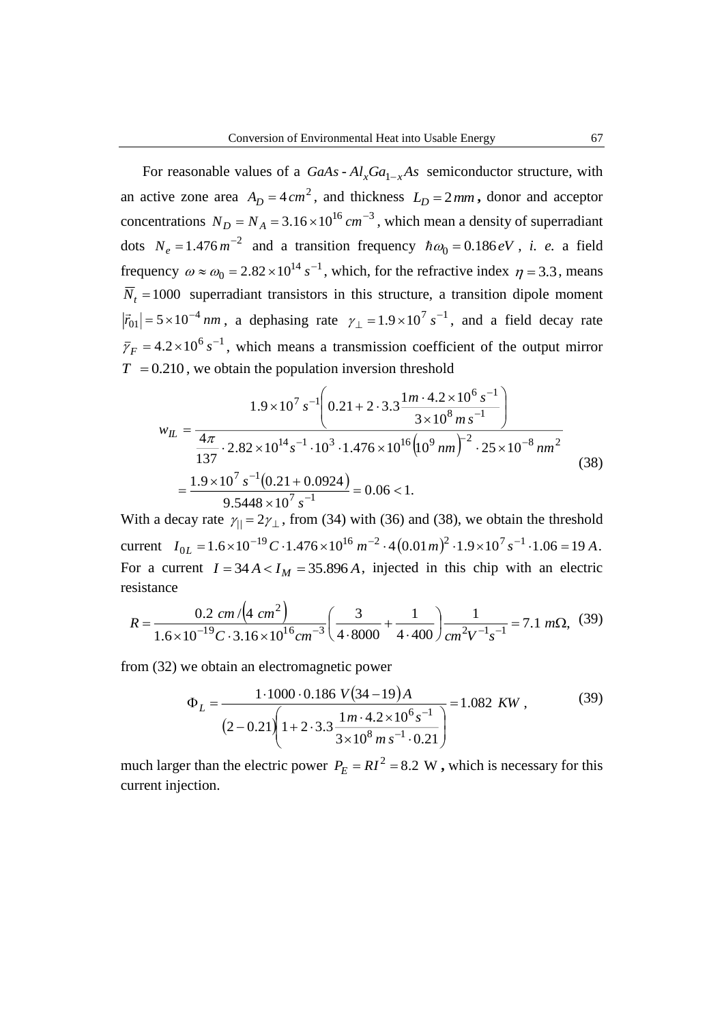For reasonable values of a  $GaAs - Al_xGa_{1-x}As$  semiconductor structure, with an active zone area  $A_D = 4 \, \text{cm}^2$ , and thickness  $L_D = 2 \, \text{mm}$ , donor and acceptor concentrations  $N_D = N_A = 3.16 \times 10^{16} \text{ cm}^{-3}$ , which mean a density of superradiant dots  $N_e = 1.476 \, m^{-2}$  and a transition frequency  $\hbar \omega_0 = 0.186 \, eV$ , *i. e.* a field frequency  $\omega \approx \omega_0 = 2.82 \times 10^{14} s^{-1}$  $\omega \approx \omega_0 = 2.82 \times 10^{14} \text{ s}^{-1}$ , which, for the refractive index  $\eta = 3.3$ , means  $N_t = 1000$  superradiant transistors in this structure, a transition dipole moment  $|\vec{r}_{01}|$  = 5 × 10<sup>-4</sup> nm, a dephasing rate  $\gamma_{\perp}$  = 1.9 × 10<sup>7</sup> s<sup>-1</sup>, and a field decay rate  $\bar{\gamma}_F = 4.2 \times 10^6 s^{-1}$ , which means a transmission coefficient of the output mirror  $T = 0.210$ , we obtain the population inversion threshold

$$
w_{IL} = \frac{1.9 \times 10^{7} s^{-1} \left( 0.21 + 2 \cdot 3.3 \frac{1 m \cdot 4.2 \times 10^{6} s^{-1}}{3 \times 10^{8} m s^{-1}} \right)}{137 \cdot 2.82 \times 10^{14} s^{-1} \cdot 10^{3} \cdot 1.476 \times 10^{16} \left( 10^{9} n m \right)^{-2} \cdot 25 \times 10^{-8} n m^{2}}
$$
\n
$$
= \frac{1.9 \times 10^{7} s^{-1} \left( 0.21 + 0.0924 \right)}{9.5448 \times 10^{7} s^{-1}} = 0.06 < 1.
$$
\n(38)

With a decay rate  $\gamma_{\parallel} = 2\gamma_{\perp}$ , from (34) with (36) and (38), we obtain the threshold current  $I_{0L} = 1.6 \times 10^{-19} C \cdot 1.476 \times 10^{16} m^{-2} \cdot 4(0.01 m)^2 \cdot 1.9 \times 10^7 s^{-1} \cdot 1.06 = 19 A$ . For a current  $I = 34 A < I_M = 35.896 A$ , injected in this chip with an electric resistance

$$
R = \frac{0.2 \, \text{cm} \, \sqrt{(4 \, \text{cm}^2)}}{1.6 \times 10^{-19} \, \text{C} \cdot 3.16 \times 10^{16} \, \text{cm}^{-3}} \bigg( \frac{3}{4 \cdot 8000} + \frac{1}{4 \cdot 400} \bigg) \frac{1}{\text{cm}^2 \text{V}^{-1} \text{s}^{-1}} = 7.1 \, \text{m}\Omega, \tag{39}
$$

from (32) we obtain an electromagnetic power

$$
\Phi_L = \frac{1.1000 \cdot 0.186 V(34-19)A}{(2-0.21) \left(1+2.3.3 \frac{1 m \cdot 4.2 \times 10^6 s^{-1}}{3 \times 10^8 m s^{-1} \cdot 0.21}\right)} = 1.082 \text{ KW},\tag{39}
$$

much larger than the electric power  $P_E = RI^2 = 8.2 \text{ W}$ , which is necessary for this current injection.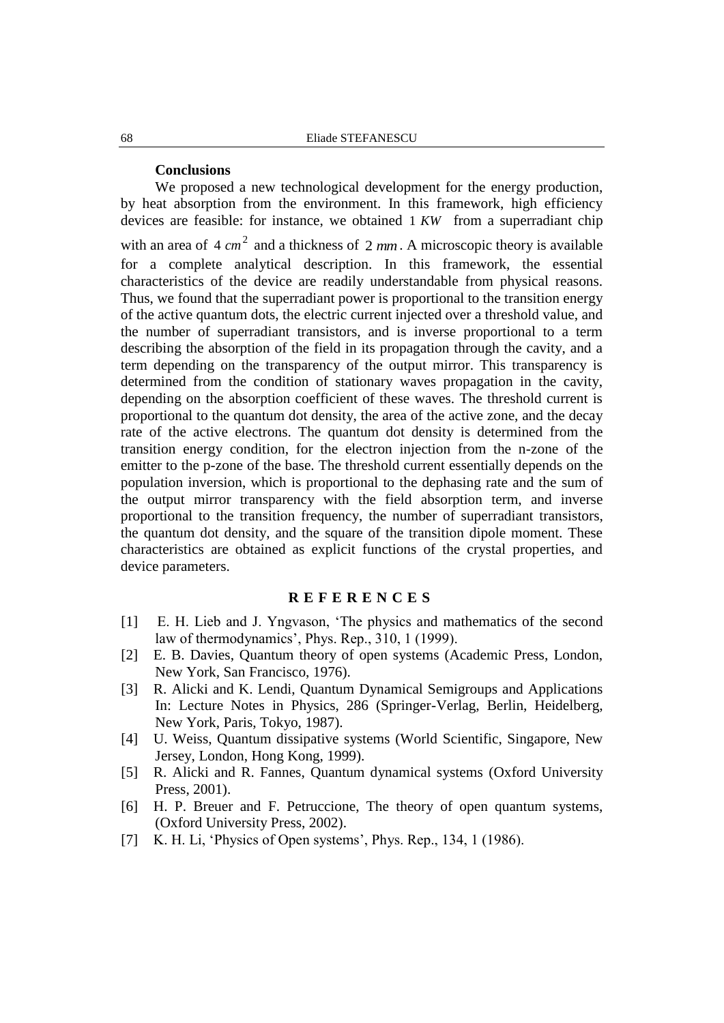## **Conclusions**

We proposed a new technological development for the energy production, by heat absorption from the environment. In this framework, high efficiency devices are feasible: for instance, we obtained 1 *KW* from a superradiant chip with an area of  $4 \text{ cm}^2$  and a thickness of  $2 \text{ mm}$ . A microscopic theory is available for a complete analytical description. In this framework, the essential characteristics of the device are readily understandable from physical reasons. Thus, we found that the superradiant power is proportional to the transition energy of the active quantum dots, the electric current injected over a threshold value, and the number of superradiant transistors, and is inverse proportional to a term describing the absorption of the field in its propagation through the cavity, and a term depending on the transparency of the output mirror. This transparency is determined from the condition of stationary waves propagation in the cavity, depending on the absorption coefficient of these waves. The threshold current is proportional to the quantum dot density, the area of the active zone, and the decay rate of the active electrons. The quantum dot density is determined from the transition energy condition, for the electron injection from the n-zone of the emitter to the p-zone of the base. The threshold current essentially depends on the population inversion, which is proportional to the dephasing rate and the sum of the output mirror transparency with the field absorption term, and inverse proportional to the transition frequency, the number of superradiant transistors, the quantum dot density, and the square of the transition dipole moment. These characteristics are obtained as explicit functions of the crystal properties, and device parameters.

## **R E F E R E N C E S**

- [1] E. H. Lieb and J. Yngvason, 'The physics and mathematics of the second law of thermodynamics', Phys. Rep., 310, 1 (1999).
- [2] E. B. Davies, Quantum theory of open systems (Academic Press, London, New York, San Francisco, 1976).
- [3] R. Alicki and K. Lendi, Quantum Dynamical Semigroups and Applications In: Lecture Notes in Physics, 286 (Springer-Verlag, Berlin, Heidelberg, New York, Paris, Tokyo, 1987).
- [4] U. Weiss, Quantum dissipative systems (World Scientific, Singapore, New Jersey, London, Hong Kong, 1999).
- [5] R. Alicki and R. Fannes, Quantum dynamical systems (Oxford University Press, 2001).
- [6] H. P. Breuer and F. Petruccione, The theory of open quantum systems, (Oxford University Press, 2002).
- [7] K. H. Li, 'Physics of Open systems', Phys. Rep., 134, 1 (1986).